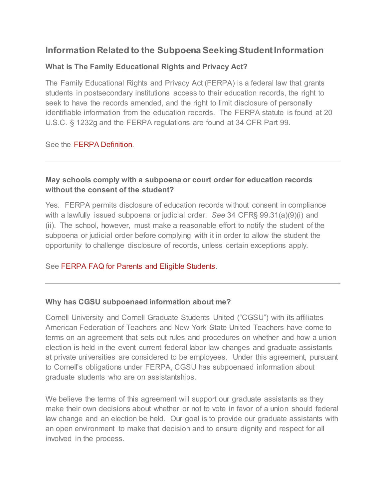# **Information Related to the Subpoena Seeking Student Information**

### **What is The Family Educational Rights and Privacy Act?**

The Family Educational Rights and Privacy Act (FERPA) is a federal law that grants students in postsecondary institutions access to their education records, the right to seek to have the records amended, and the right to limit disclosure of personally identifiable information from the education records. The FERPA statute is found at 20 U.S.C. § 1232g and the FERPA regulations are found at 34 CFR Part 99.

See the [FERPA Definition.](http://familypolicy.ed.gov/content/what-ferpa)

## **May schools comply with a subpoena or court order for education records without the consent of the student?**

Yes. FERPA permits disclosure of education records without consent in compliance with a lawfully issued subpoena or judicial order. *See* 34 CFR§ 99.31(a)(9)(i) and (ii). The school, however, must make a reasonable effort to notify the student of the subpoena or judicial order before complying with it in order to allow the student the opportunity to challenge disclosure of records, unless certain exceptions apply.

#### See [FERPA FAQ for Parents and Eligible Students.](http://familypolicy.ed.gov/faq-page#t76n415)

#### **Why has CGSU subpoenaed information about me?**

Cornell University and Cornell Graduate Students United ("CGSU") with its affiliates American Federation of Teachers and New York State United Teachers have come to terms on an agreement that sets out rules and procedures on whether and how a union election is held in the event current federal labor law changes and graduate assistants at private universities are considered to be employees. Under this agreement, pursuant to Cornell's obligations under FERPA, CGSU has subpoenaed information about graduate students who are on assistantships.

We believe the terms of this agreement will support our graduate assistants as they make their own decisions about whether or not to vote in favor of a union should federal law change and an election be held. Our goal is to provide our graduate assistants with an open environment to make that decision and to ensure dignity and respect for all involved in the process.